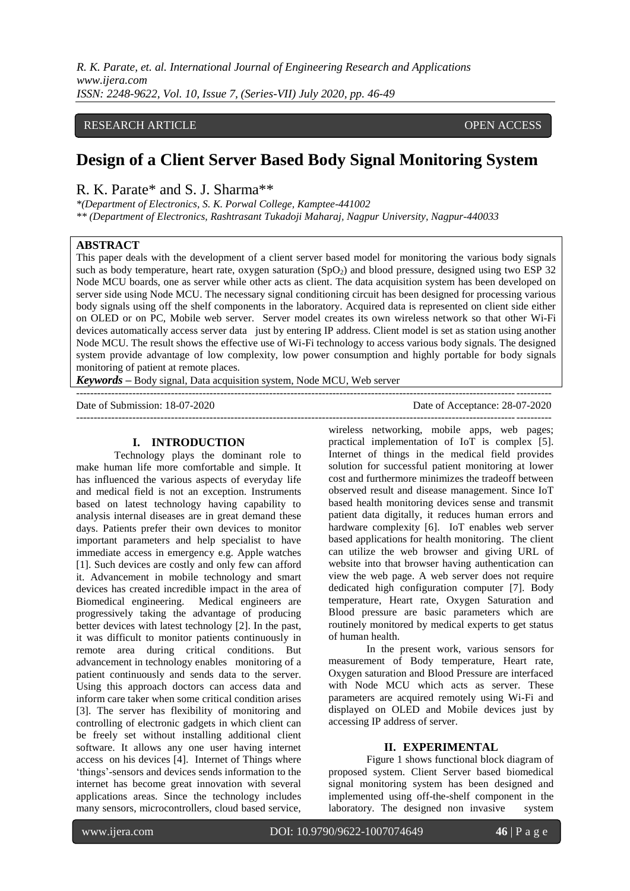## RESEARCH ARTICLE **CONSERVERS** OPEN ACCESS

# **Design of a Client Server Based Body Signal Monitoring System**

R. K. Parate\* and S. J. Sharma\*\*

*\*(Department of Electronics, S. K. Porwal College, Kamptee-441002 \*\* (Department of Electronics, Rashtrasant Tukadoji Maharaj, Nagpur University, Nagpur-440033*

## **ABSTRACT**

This paper deals with the development of a client server based model for monitoring the various body signals such as body temperature, heart rate, oxygen saturation  $(SpO<sub>2</sub>)$  and blood pressure, designed using two ESP 32 Node MCU boards, one as server while other acts as client. The data acquisition system has been developed on server side using Node MCU. The necessary signal conditioning circuit has been designed for processing various body signals using off the shelf components in the laboratory. Acquired data is represented on client side either on OLED or on PC, Mobile web server. Server model creates its own wireless network so that other Wi-Fi devices automatically access server data just by entering IP address. Client model is set as station using another Node MCU. The result shows the effective use of Wi-Fi technology to access various body signals. The designed system provide advantage of low complexity, low power consumption and highly portable for body signals monitoring of patient at remote places.

---------------------------------------------------------------------------------------------------------------------------------------

*Keywords* **–** Body signal, Data acquisition system, Node MCU, Web server

Date of Submission: 18-07-2020 Date of Acceptance: 28-07-2020

---------------------------------------------------------------------------------------------------------------------------------------

## **I. INTRODUCTION**

Technology plays the dominant role to make human life more comfortable and simple. It has influenced the various aspects of everyday life and medical field is not an exception. Instruments based on latest technology having capability to analysis internal diseases are in great demand these days. Patients prefer their own devices to monitor important parameters and help specialist to have immediate access in emergency e.g. Apple watches [1]. Such devices are costly and only few can afford it. Advancement in mobile technology and smart devices has created incredible impact in the area of Biomedical engineering. Medical engineers are progressively taking the advantage of producing better devices with latest technology [2]. In the past, it was difficult to monitor patients continuously in remote area during critical conditions. But advancement in technology enables monitoring of a patient continuously and sends data to the server. Using this approach doctors can access data and inform care taker when some critical condition arises [3]. The server has flexibility of monitoring and controlling of electronic gadgets in which client can be freely set without installing additional client software. It allows any one user having internet access on his devices [4]. Internet of Things where "things"-sensors and devices sends information to the internet has become great innovation with several applications areas. Since the technology includes many sensors, microcontrollers, cloud based service,

wireless networking, mobile apps, web pages; practical implementation of IoT is complex [5]. Internet of things in the medical field provides solution for successful patient monitoring at lower cost and furthermore minimizes the tradeoff between observed result and disease management. Since IoT based health monitoring devices sense and transmit patient data digitally, it reduces human errors and hardware complexity [6]. IoT enables web server based applications for health monitoring. The client can utilize the web browser and giving URL of website into that browser having authentication can view the web page. A web server does not require dedicated high configuration computer [7]. Body temperature, Heart rate, Oxygen Saturation and Blood pressure are basic parameters which are routinely monitored by medical experts to get status of human health.

In the present work, various sensors for measurement of Body temperature, Heart rate, Oxygen saturation and Blood Pressure are interfaced with Node MCU which acts as server. These parameters are acquired remotely using Wi-Fi and displayed on OLED and Mobile devices just by accessing IP address of server.

## **II. EXPERIMENTAL**

Figure 1 shows functional block diagram of proposed system. Client Server based biomedical signal monitoring system has been designed and implemented using off-the-shelf component in the laboratory. The designed non invasive system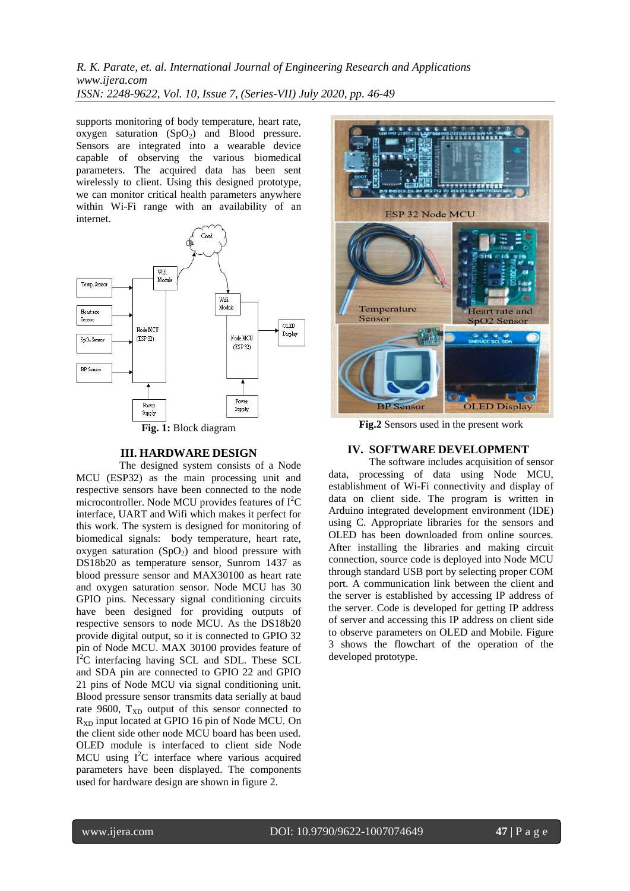supports monitoring of body temperature, heart rate, oxygen saturation  $(SpO<sub>2</sub>)$  and Blood pressure. Sensors are integrated into a wearable device capable of observing the various biomedical parameters. The acquired data has been sent wirelessly to client. Using this designed prototype, we can monitor critical health parameters anywhere within Wi-Fi range with an availability of an internet.



### **III. HARDWARE DESIGN**

 The designed system consists of a Node MCU (ESP32) as the main processing unit and respective sensors have been connected to the node microcontroller. Node MCU provides features of  $I<sup>2</sup>C$ interface, UART and Wifi which makes it perfect for this work. The system is designed for monitoring of biomedical signals: body temperature, heart rate, oxygen saturation  $(SpO<sub>2</sub>)$  and blood pressure with DS18b20 as temperature sensor, Sunrom 1437 as blood pressure sensor and MAX30100 as heart rate and oxygen saturation sensor. Node MCU has 30 GPIO pins. Necessary signal conditioning circuits have been designed for providing outputs of respective sensors to node MCU. As the DS18b20 provide digital output, so it is connected to GPIO 32 pin of Node MCU. MAX 30100 provides feature of I<sup>2</sup>C interfacing having SCL and SDL. These SCL and SDA pin are connected to GPIO 22 and GPIO 21 pins of Node MCU via signal conditioning unit. Blood pressure sensor transmits data serially at baud rate 9600,  $T_{XD}$  output of this sensor connected to  $R_{XD}$  input located at GPIO 16 pin of Node MCU. On the client side other node MCU board has been used. OLED module is interfaced to client side Node MCU using  $I^2C$  interface where various acquired parameters have been displayed. The components used for hardware design are shown in figure 2.



**Fig.2** Sensors used in the present work

### **IV. SOFTWARE DEVELOPMENT**

 The software includes acquisition of sensor data, processing of data using Node MCU, establishment of Wi-Fi connectivity and display of data on client side. The program is written in Arduino integrated development environment (IDE) using C. Appropriate libraries for the sensors and OLED has been downloaded from online sources. After installing the libraries and making circuit connection, source code is deployed into Node MCU through standard USB port by selecting proper COM port. A communication link between the client and the server is established by accessing IP address of the server. Code is developed for getting IP address of server and accessing this IP address on client side to observe parameters on OLED and Mobile. Figure 3 shows the flowchart of the operation of the developed prototype.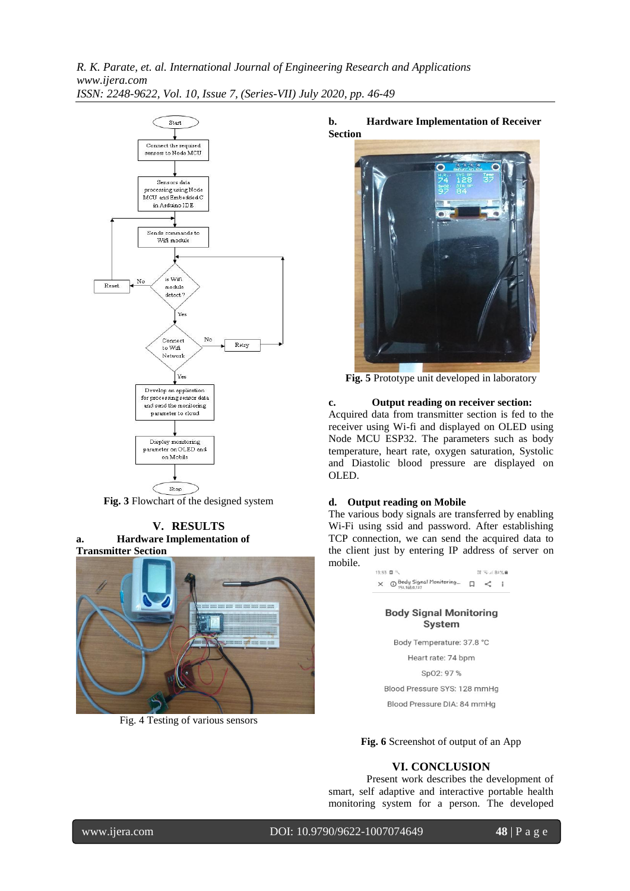

**Fig. 3** Flowchart of the designed system

## **V. RESULTS a. Hardware Implementation of**



Fig. 4 Testing of various sensors

**b. Hardware Implementation of Receiver Section**



**Fig. 5** Prototype unit developed in laboratory

### **c. Output reading on receiver section:**

Acquired data from transmitter section is fed to the receiver using Wi-fi and displayed on OLED using Node MCU ESP32. The parameters such as body temperature, heart rate, oxygen saturation, Systolic and Diastolic blood pressure are displayed on OLED.

### **d. Output reading on Mobile**

The various body signals are transferred by enabling Wi-Fi using ssid and password. After establishing TCP connection, we can send the acquired data to the client just by entering IP address of server on mobile.

22 元/ 82%单 13:53 回气  $\times$   $\bigcirc$  Body Signal Monitoring...  $\Box \leq$  :

### **Body Signal Monitoring** System

Body Temperature: 37.8 °C

Heart rate: 74 bpm

Sp02: 97 %

Blood Pressure SYS: 128 mmHg

Blood Pressure DIA: 84 mmHg

**Fig. 6** Screenshot of output of an App

## **VI. CONCLUSION**

Present work describes the development of smart, self adaptive and interactive portable health monitoring system for a person. The developed

www.ijera.com DOI: 10.9790/9622-1007074649 **48** | P a g e